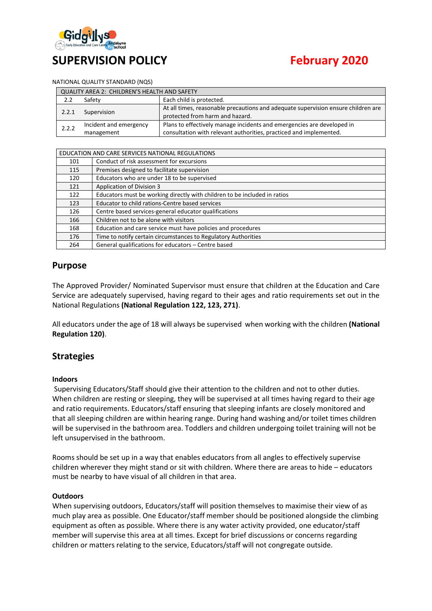

# **SUPERVISION POLICY February 2020**

#### NATIONAL QUALITY STANDARD (NQS)

| QUALITY AREA 2: CHILDREN'S HEALTH AND SAFETY |                                      |                                                                                                                                              |  |  |
|----------------------------------------------|--------------------------------------|----------------------------------------------------------------------------------------------------------------------------------------------|--|--|
| 2.2                                          | Safety                               | Each child is protected.                                                                                                                     |  |  |
| 2.2.1                                        | Supervision                          | At all times, reasonable precautions and adequate supervision ensure children are<br>protected from harm and hazard.                         |  |  |
| 2.2.2                                        | Incident and emergency<br>management | Plans to effectively manage incidents and emergencies are developed in<br>consultation with relevant authorities, practiced and implemented. |  |  |

| EDUCATION AND CARE SERVICES NATIONAL REGULATIONS |                                                                           |  |
|--------------------------------------------------|---------------------------------------------------------------------------|--|
| 101                                              | Conduct of risk assessment for excursions                                 |  |
| 115                                              | Premises designed to facilitate supervision                               |  |
| 120                                              | Educators who are under 18 to be supervised                               |  |
| 121                                              | Application of Division 3                                                 |  |
| 122                                              | Educators must be working directly with children to be included in ratios |  |
| 123                                              | Educator to child rations-Centre based services                           |  |
| 126                                              | Centre based services-general educator qualifications                     |  |
| 166                                              | Children not to be alone with visitors                                    |  |
| 168                                              | Education and care service must have policies and procedures              |  |
| 176                                              | Time to notify certain circumstances to Regulatory Authorities            |  |
| 264                                              | General qualifications for educators - Centre based                       |  |

#### **Purpose**

The Approved Provider/ Nominated Supervisor must ensure that children at the Education and Care Service are adequately supervised, having regard to their ages and ratio requirements set out in the National Regulations **(National Regulation 122, 123, 271)**.

All educators under the age of 18 will always be supervised when working with the children **(National Regulation 120)**.

#### **Strategies**

#### **Indoors**

Supervising Educators/Staff should give their attention to the children and not to other duties. When children are resting or sleeping, they will be supervised at all times having regard to their age and ratio requirements. Educators/staff ensuring that sleeping infants are closely monitored and that all sleeping children are within hearing range. During hand washing and/or toilet times children will be supervised in the bathroom area. Toddlers and children undergoing toilet training will not be left unsupervised in the bathroom.

Rooms should be set up in a way that enables educators from all angles to effectively supervise children wherever they might stand or sit with children. Where there are areas to hide – educators must be nearby to have visual of all children in that area.

#### **Outdoors**

When supervising outdoors, Educators/staff will position themselves to maximise their view of as much play area as possible. One Educator/staff member should be positioned alongside the climbing equipment as often as possible. Where there is any water activity provided, one educator/staff member will supervise this area at all times. Except for brief discussions or concerns regarding children or matters relating to the service, Educators/staff will not congregate outside.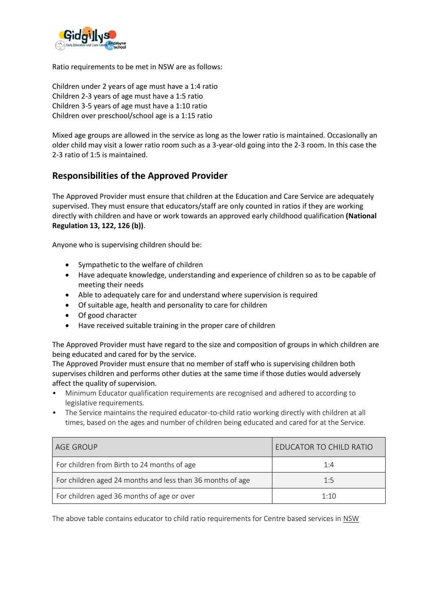

Ratio requirements to be met in NSW are as follows:

Children under 2 years of age must have a 1:4 ratio Children 2-3 years of age must have a 1:5 ratio Children 3-5 years of age must have a 1:10 ratio Children over preschool/school age is a 1:15 ratio

Mixed age groups are allowed in the service as long as the lower ratio is maintained. Occasionally an older child may visit a lower ratio room such as a 3-year-old going into the 2-3 room. In this case the 2-3 ratio of 1:5 is maintained.

# **Responsibilities of the Approved Provider**

The Approved Provider must ensure that children at the Education and Care Service are adequately supervised. They must ensure that educators/staff are only counted in ratios if they are working directly with children and have or work towards an approved early childhood qualification **(National Regulation 13, 122, 126 (b))**.

Anyone who is supervising children should be:

- Sympathetic to the welfare of children
- Have adequate knowledge, understanding and experience of children so as to be capable of meeting their needs
- Able to adequately care for and understand where supervision is required
- Of suitable age, health and personality to care for children
- Of good character
- Have received suitable training in the proper care of children

The Approved Provider must have regard to the size and composition of groups in which children are being educated and cared for by the service.

The Approved Provider must ensure that no member of staff who is supervising children both supervises children and performs other duties at the same time if those duties would adversely affect the quality of supervision.

- Minimum Educator qualification requirements are recognised and adhered to according to legislative requirements.
- The Service maintains the required educator-to-child ratio working directly with children at all times, based on the ages and number of children being educated and cared for at the Service.

| AGE GROUP                                                  | EDUCATOR TO CHILD RATIO |
|------------------------------------------------------------|-------------------------|
| For children from Birth to 24 months of age                | 1:4                     |
| For children aged 24 months and less than 36 months of age | 1:5                     |
| For children aged 36 months of age or over                 | 1:10                    |

The above table contains educator to child ratio requirements for Centre based services in NSW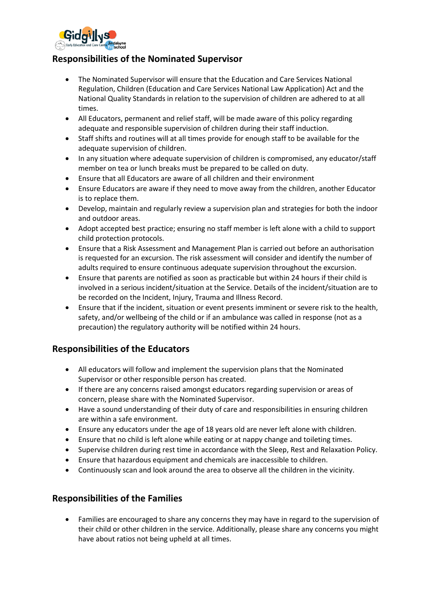

# **Responsibilities of the Nominated Supervisor**

- The Nominated Supervisor will ensure that the Education and Care Services National Regulation, Children (Education and Care Services National Law Application) Act and the National Quality Standards in relation to the supervision of children are adhered to at all times.
- All Educators, permanent and relief staff, will be made aware of this policy regarding adequate and responsible supervision of children during their staff induction.
- Staff shifts and routines will at all times provide for enough staff to be available for the adequate supervision of children.
- In any situation where adequate supervision of children is compromised, any educator/staff member on tea or lunch breaks must be prepared to be called on duty.
- Ensure that all Educators are aware of all children and their environment
- Ensure Educators are aware if they need to move away from the children, another Educator is to replace them.
- Develop, maintain and regularly review a supervision plan and strategies for both the indoor and outdoor areas.
- Adopt accepted best practice; ensuring no staff member is left alone with a child to support child protection protocols.
- Ensure that a Risk Assessment and Management Plan is carried out before an authorisation is requested for an excursion. The risk assessment will consider and identify the number of adults required to ensure continuous adequate supervision throughout the excursion.
- Ensure that parents are notified as soon as practicable but within 24 hours if their child is involved in a serious incident/situation at the Service. Details of the incident/situation are to be recorded on the Incident, Injury, Trauma and Illness Record.
- Ensure that if the incident, situation or event presents imminent or severe risk to the health, safety, and/or wellbeing of the child or if an ambulance was called in response (not as a precaution) the regulatory authority will be notified within 24 hours.

# **Responsibilities of the Educators**

- All educators will follow and implement the supervision plans that the Nominated Supervisor or other responsible person has created.
- If there are any concerns raised amongst educators regarding supervision or areas of concern, please share with the Nominated Supervisor.
- Have a sound understanding of their duty of care and responsibilities in ensuring children are within a safe environment.
- Ensure any educators under the age of 18 years old are never left alone with children.
- Ensure that no child is left alone while eating or at nappy change and toileting times.
- Supervise children during rest time in accordance with the Sleep, Rest and Relaxation Policy.
- Ensure that hazardous equipment and chemicals are inaccessible to children.
- Continuously scan and look around the area to observe all the children in the vicinity.

#### **Responsibilities of the Families**

• Families are encouraged to share any concerns they may have in regard to the supervision of their child or other children in the service. Additionally, please share any concerns you might have about ratios not being upheld at all times.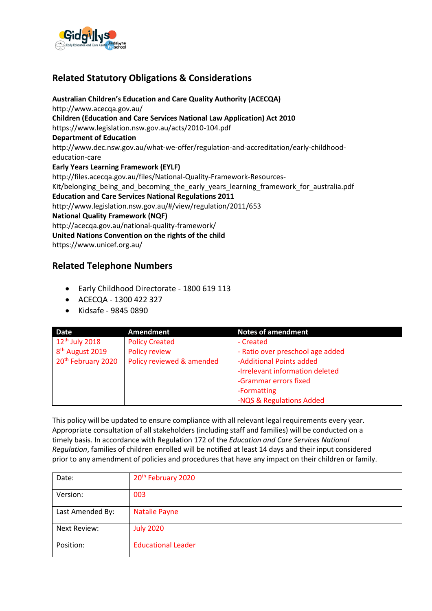

# **Related Statutory Obligations & Considerations**

**Australian Children's Education and Care Quality Authority (ACECQA)** http://www.acecqa.gov.au/ **Children (Education and Care Services National Law Application) Act 2010** https://www.legislation.nsw.gov.au/acts/2010-104.pdf **Department of Education** http://www.dec.nsw.gov.au/what-we-offer/regulation-and-accreditation/early-childhoodeducation-care **Early Years Learning Framework (EYLF)** http://files.acecqa.gov.au/files/National-Quality-Framework-Resources-Kit/belonging\_being\_and\_becoming\_the\_early\_years\_learning\_framework\_for\_australia.pdf **Education and Care Services National Regulations 2011** http://www.legislation.nsw.gov.au/#/view/regulation/2011/653 **National Quality Framework (NQF)** http://acecqa.gov.au/national-quality-framework/ **United Nations Convention on the rights of the child**  https://www.unicef.org.au/

# **Related Telephone Numbers**

- Early Childhood Directorate 1800 619 113
- ACECQA 1300 422 327
- Kidsafe 9845 0890

| Date                           | <b>Amendment</b>          | <b>Notes of amendment</b>        |
|--------------------------------|---------------------------|----------------------------------|
| $12th$ July 2018               | <b>Policy Created</b>     | - Created                        |
| 8 <sup>th</sup> August 2019    | Policy review             | - Ratio over preschool age added |
| 20 <sup>th</sup> February 2020 | Policy reviewed & amended | -Additional Points added         |
|                                |                           | -Irrelevant information deleted  |
|                                |                           | -Grammar errors fixed            |
|                                |                           | -Formatting                      |
|                                |                           | -NQS & Regulations Added         |

This policy will be updated to ensure compliance with all relevant legal requirements every year. Appropriate consultation of all stakeholders (including staff and families) will be conducted on a timely basis. In accordance with Regulation 172 of the *Education and Care Services National Regulation*, families of children enrolled will be notified at least 14 days and their input considered prior to any amendment of policies and procedures that have any impact on their children or family.

| Date:               | 20 <sup>th</sup> February 2020 |
|---------------------|--------------------------------|
| Version:            | 003                            |
| Last Amended By:    | <b>Natalie Payne</b>           |
| <b>Next Review:</b> | <b>July 2020</b>               |
| Position:           | <b>Educational Leader</b>      |